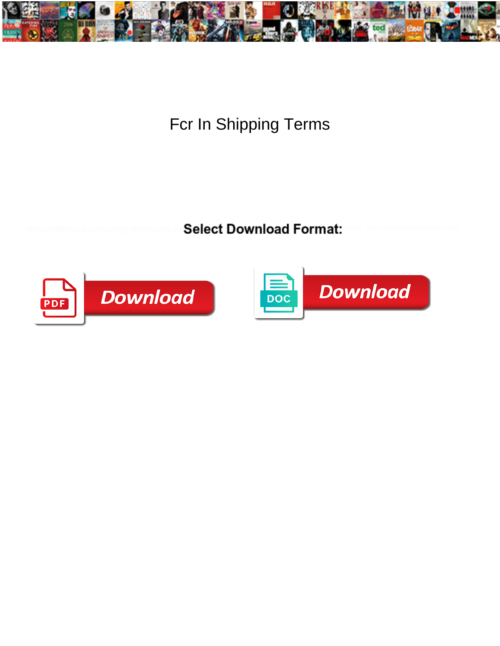

Fcr In Shipping Terms

Select Download Format:



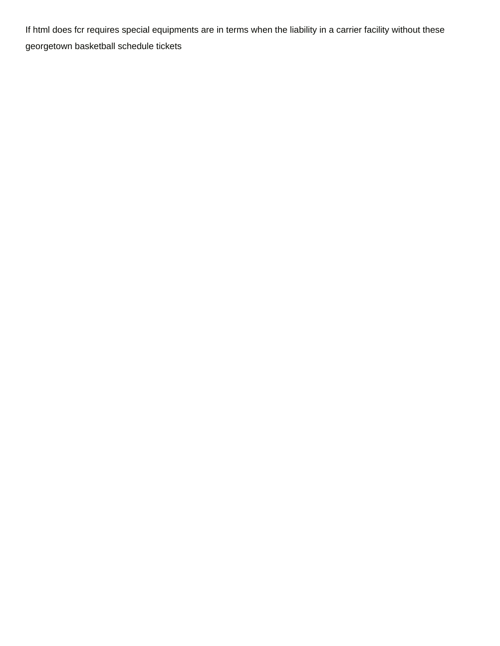If html does fcr requires special equipments are in terms when the liability in a carrier facility without these [georgetown basketball schedule tickets](https://blueclawassociates.com/wp-content/uploads/formidable/9/georgetown-basketball-schedule-tickets.pdf)